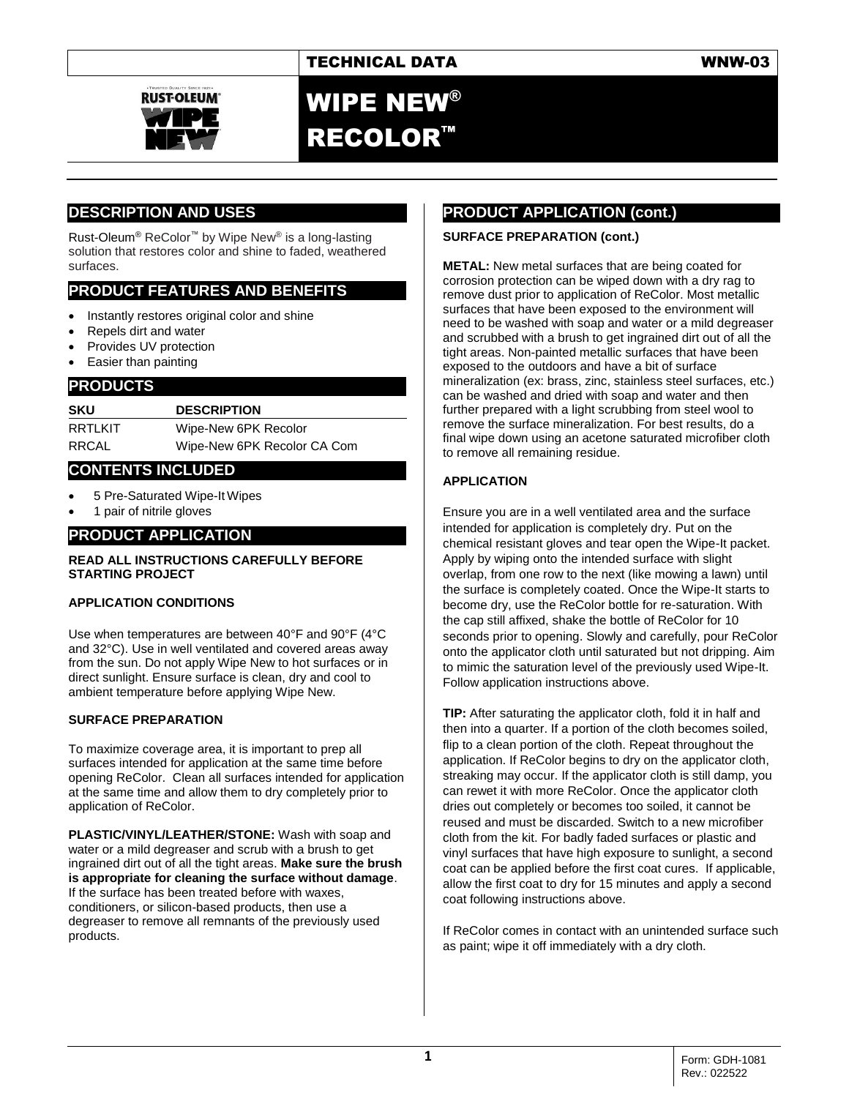

WIPE NEW® RECOLOR™

## **DESCRIPTION AND USES**

Rust-Oleum® ReColor™ by Wipe New® is a long-lasting solution that restores color and shine to faded, weathered surfaces.

## **PRODUCT FEATURES AND BENEFITS**

- Instantly restores original color and shine
- Repels dirt and water
- Provides UV protection
- Easier than painting

#### **PRODUCTS**

**SKU DESCRIPTION** RRTLKIT Wipe-New 6PK Recolor RRCAL Wipe-New 6PK Recolor CA Com

#### **CONTENTS INCLUDED**

- 5 Pre-Saturated Wipe-It Wipes
- 1 pair of nitrile gloves

## **PRODUCT APPLICATION**

#### **READ ALL INSTRUCTIONS CAREFULLY BEFORE STARTING PROJECT**

#### **APPLICATION CONDITIONS**

Use when temperatures are between 40°F and 90°F (4°C and 32°C). Use in well ventilated and covered areas away from the sun. Do not apply Wipe New to hot surfaces or in direct sunlight. Ensure surface is clean, dry and cool to ambient temperature before applying Wipe New.

#### **SURFACE PREPARATION**

To maximize coverage area, it is important to prep all surfaces intended for application at the same time before opening ReColor. Clean all surfaces intended for application at the same time and allow them to dry completely prior to application of ReColor.

**PLASTIC/VINYL/LEATHER/STONE:** Wash with soap and water or a mild degreaser and scrub with a brush to get ingrained dirt out of all the tight areas. **Make sure the brush is appropriate for cleaning the surface without damage**. If the surface has been treated before with waxes, conditioners, or silicon-based products, then use a degreaser to remove all remnants of the previously used products.

## **PRODUCT APPLICATION (cont.)**

#### **SURFACE PREPARATION (cont.)**

**METAL:** New metal surfaces that are being coated for corrosion protection can be wiped down with a dry rag to remove dust prior to application of ReColor. Most metallic surfaces that have been exposed to the environment will need to be washed with soap and water or a mild degreaser and scrubbed with a brush to get ingrained dirt out of all the tight areas. Non-painted metallic surfaces that have been exposed to the outdoors and have a bit of surface mineralization (ex: brass, zinc, stainless steel surfaces, etc.) can be washed and dried with soap and water and then further prepared with a light scrubbing from steel wool to remove the surface mineralization. For best results, do a final wipe down using an acetone saturated microfiber cloth to remove all remaining residue.

#### **APPLICATION**

Ensure you are in a well ventilated area and the surface intended for application is completely dry. Put on the chemical resistant gloves and tear open the Wipe-It packet. Apply by wiping onto the intended surface with slight overlap, from one row to the next (like mowing a lawn) until the surface is completely coated. Once the Wipe-It starts to become dry, use the ReColor bottle for re-saturation. With the cap still affixed, shake the bottle of ReColor for 10 seconds prior to opening. Slowly and carefully, pour ReColor onto the applicator cloth until saturated but not dripping. Aim to mimic the saturation level of the previously used Wipe-It. Follow application instructions above.

**TIP:** After saturating the applicator cloth, fold it in half and then into a quarter. If a portion of the cloth becomes soiled, flip to a clean portion of the cloth. Repeat throughout the application. If ReColor begins to dry on the applicator cloth, streaking may occur. If the applicator cloth is still damp, you can rewet it with more ReColor. Once the applicator cloth dries out completely or becomes too soiled, it cannot be reused and must be discarded. Switch to a new microfiber cloth from the kit. For badly faded surfaces or plastic and vinyl surfaces that have high exposure to sunlight, a second coat can be applied before the first coat cures. If applicable, allow the first coat to dry for 15 minutes and apply a second coat following instructions above.

If ReColor comes in contact with an unintended surface such as paint; wipe it off immediately with a dry cloth.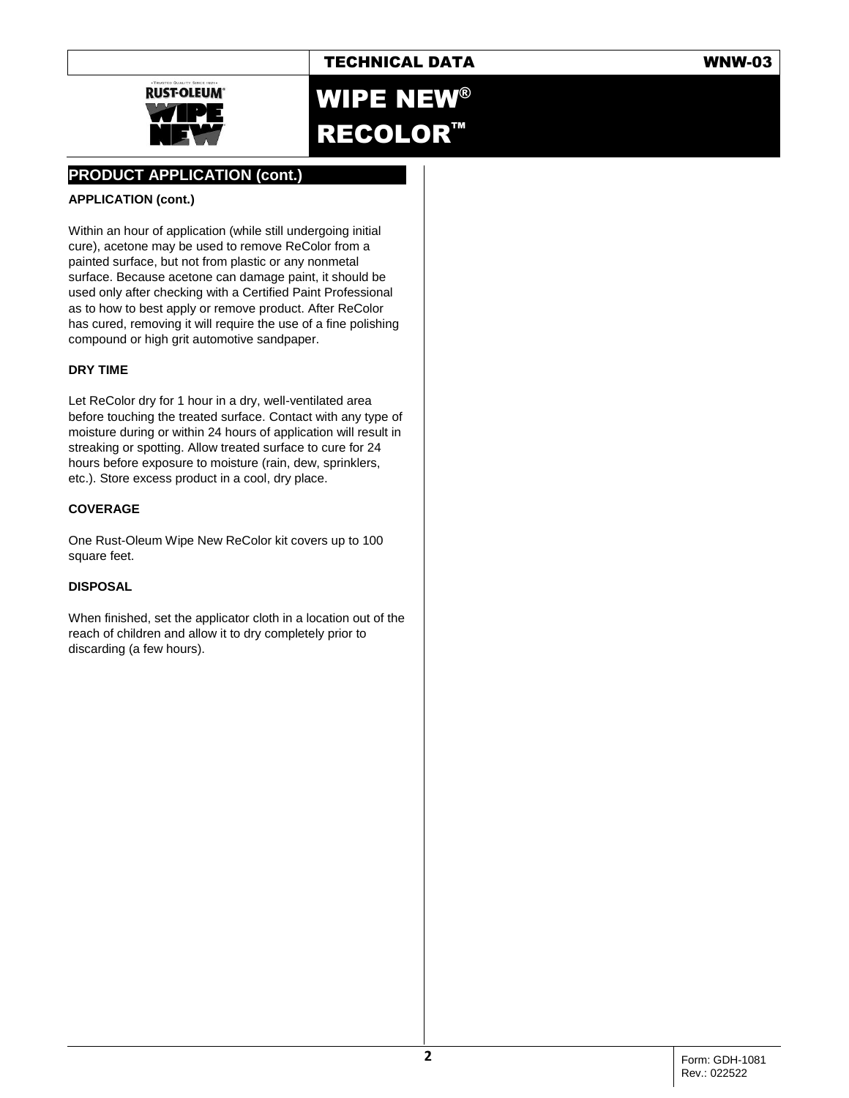

# WIPE NEW® RECOLOR™

## **PRODUCT APPLICATION (cont.)**

#### **APPLICATION (cont.)**

Within an hour of application (while still undergoing initial cure), acetone may be used to remove ReColor from a painted surface, but not from plastic or any nonmetal surface. Because acetone can damage paint, it should be used only after checking with a Certified Paint Professional as to how to best apply or remove product. After ReColor has cured, removing it will require the use of a fine polishing compound or high grit automotive sandpaper.

#### **DRY TIME**

Let ReColor dry for 1 hour in a dry, well-ventilated area before touching the treated surface. Contact with any type of moisture during or within 24 hours of application will result in streaking or spotting. Allow treated surface to cure for 24 hours before exposure to moisture (rain, dew, sprinklers, etc.). Store excess product in a cool, dry place.

#### **COVERAGE**

One Rust-Oleum Wipe New ReColor kit covers up to 100 square feet.

#### **DISPOSAL**

When finished, set the applicator cloth in a location out of the reach of children and allow it to dry completely prior to discarding (a few hours).